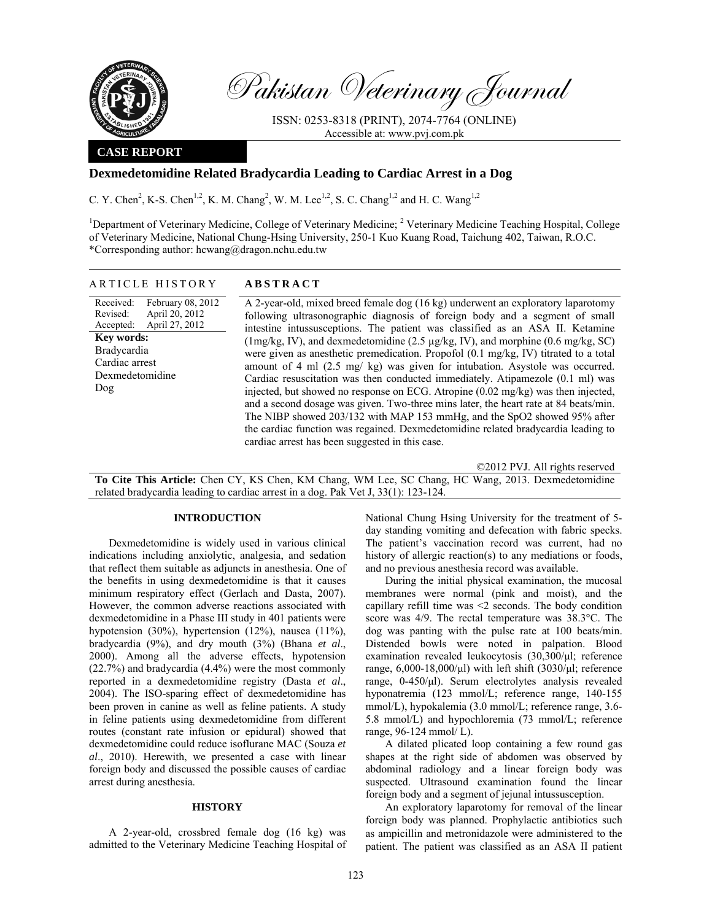

Pakistan Veterinary Journal

ISSN: 0253-8318 (PRINT), 2074-7764 (ONLINE) Accessible at: www.pvj.com.pk

## **CASE REPORT**

# **Dexmedetomidine Related Bradycardia Leading to Cardiac Arrest in a Dog**

C. Y. Chen<sup>2</sup>, K-S. Chen<sup>1,2</sup>, K. M. Chang<sup>2</sup>, W. M. Lee<sup>1,2</sup>, S. C. Chang<sup>1,2</sup> and H. C. Wang<sup>1,2</sup>

<sup>1</sup>Department of Veterinary Medicine, College of Veterinary Medicine; <sup>2</sup> Veterinary Medicine Teaching Hospital, College of Veterinary Medicine, National Chung-Hsing University, 250-1 Kuo Kuang Road, Taichung 402, Taiwan, R.O.C. \*Corresponding author: hcwang@dragon.nchu.edu.tw

### ARTICLE HISTORY **ABSTRACT**

Received: Revised: Accepted: February 08, 2012 April 20, 2012 April 27, 2012 **Key words:**  Bradycardia Cardiac arrest Dexmedetomidine Dog

 A 2-year-old, mixed breed female dog (16 kg) underwent an exploratory laparotomy following ultrasonographic diagnosis of foreign body and a segment of small intestine intussusceptions. The patient was classified as an ASA II. Ketamine (1mg/kg, IV), and dexmedetomidine (2.5 µg/kg, IV), and morphine (0.6 mg/kg, SC) were given as anesthetic premedication. Propofol (0.1 mg/kg, IV) titrated to a total amount of 4 ml (2.5 mg/ kg) was given for intubation. Asystole was occurred. Cardiac resuscitation was then conducted immediately. Atipamezole (0.1 ml) was injected, but showed no response on ECG. Atropine (0.02 mg/kg) was then injected, and a second dosage was given. Two-three mins later, the heart rate at 84 beats/min. The NIBP showed 203/132 with MAP 153 mmHg, and the SpO2 showed 95% after the cardiac function was regained. Dexmedetomidine related bradycardia leading to cardiac arrest has been suggested in this case.

©2012 PVJ. All rights reserved

**To Cite This Article:** Chen CY, KS Chen, KM Chang, WM Lee, SC Chang, HC Wang, 2013. Dexmedetomidine related bradycardia leading to cardiac arrest in a dog. Pak Vet J, 33(1): 123-124.

### **INTRODUCTION**

Dexmedetomidine is widely used in various clinical indications including anxiolytic, analgesia, and sedation that reflect them suitable as adjuncts in anesthesia. One of the benefits in using dexmedetomidine is that it causes minimum respiratory effect (Gerlach and Dasta, 2007). However, the common adverse reactions associated with dexmedetomidine in a Phase III study in 401 patients were hypotension (30%), hypertension (12%), nausea (11%), bradycardia (9%), and dry mouth (3%) (Bhana *et al*., 2000). Among all the adverse effects, hypotension (22.7%) and bradycardia (4.4%) were the most commonly reported in a dexmedetomidine registry (Dasta *et al*., 2004). The ISO-sparing effect of dexmedetomidine has been proven in canine as well as feline patients. A study in feline patients using dexmedetomidine from different routes (constant rate infusion or epidural) showed that dexmedetomidine could reduce isoflurane MAC (Souza *et al*., 2010). Herewith, we presented a case with linear foreign body and discussed the possible causes of cardiac arrest during anesthesia.

### **HISTORY**

A 2-year-old, crossbred female dog (16 kg) was admitted to the Veterinary Medicine Teaching Hospital of National Chung Hsing University for the treatment of 5 day standing vomiting and defecation with fabric specks. The patient's vaccination record was current, had no history of allergic reaction(s) to any mediations or foods, and no previous anesthesia record was available.

During the initial physical examination, the mucosal membranes were normal (pink and moist), and the capillary refill time was <2 seconds. The body condition score was 4/9. The rectal temperature was 38.3°C. The dog was panting with the pulse rate at 100 beats/min. Distended bowls were noted in palpation. Blood examination revealed leukocytosis (30,300/µl; reference range,  $6,000-18,000/\mu l$ ) with left shift  $(3030/\mu l;$  reference range, 0-450/µl). Serum electrolytes analysis revealed hyponatremia (123 mmol/L; reference range, 140-155 mmol/L), hypokalemia (3.0 mmol/L; reference range, 3.6- 5.8 mmol/L) and hypochloremia (73 mmol/L; reference range, 96-124 mmol/ L).

A dilated plicated loop containing a few round gas shapes at the right side of abdomen was observed by abdominal radiology and a linear foreign body was suspected. Ultrasound examination found the linear foreign body and a segment of jejunal intussusception.

An exploratory laparotomy for removal of the linear foreign body was planned. Prophylactic antibiotics such as ampicillin and metronidazole were administered to the patient. The patient was classified as an ASA II patient